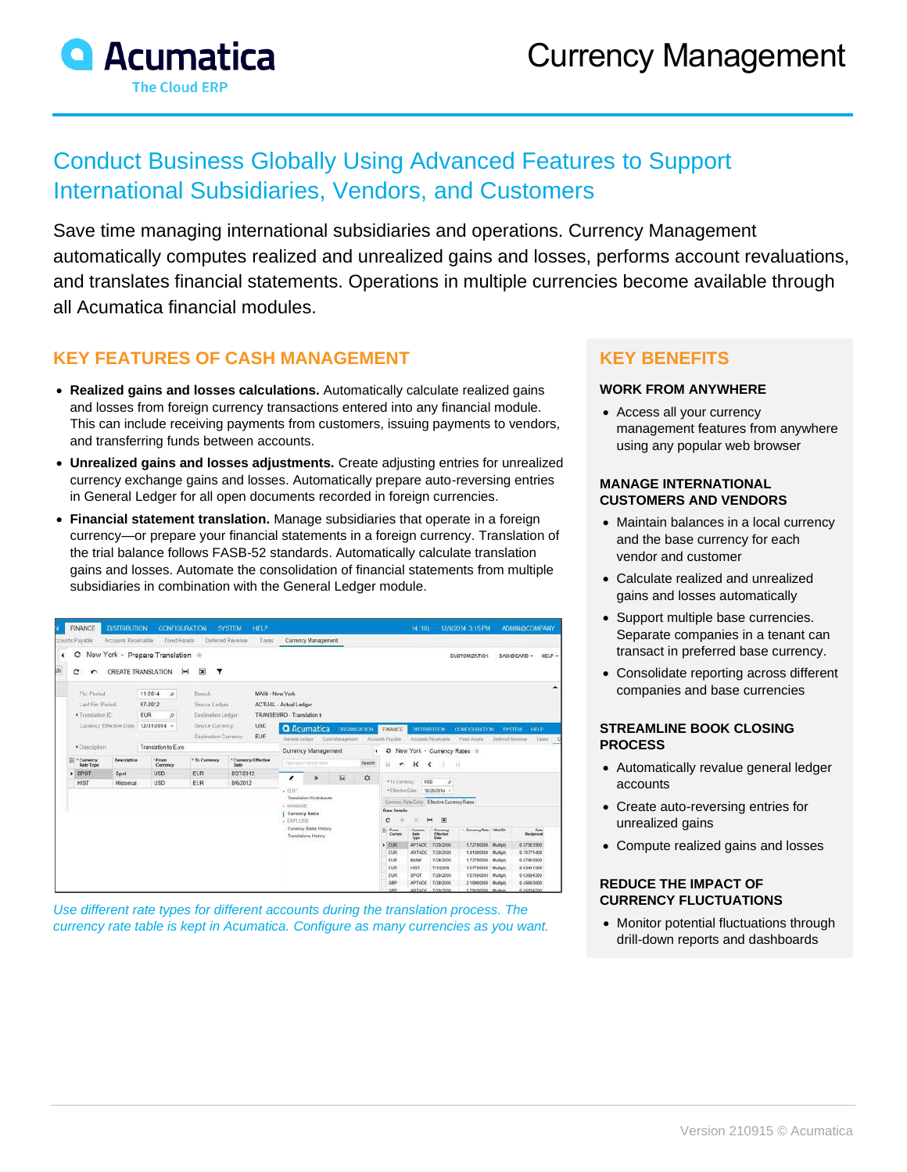

# Conduct Business Globally Using Advanced Features to Support International Subsidiaries, Vendors, and Customers

Save time managing international subsidiaries and operations. Currency Management automatically computes realized and unrealized gains and losses, performs account revaluations, and translates financial statements. Operations in multiple currencies become available through all Acumatica financial modules.

## **KEY FEATURES OF CASH MANAGEMENT**

- **Realized gains and losses calculations.** Automatically calculate realized gains and losses from foreign currency transactions entered into any financial module. This can include receiving payments from customers, issuing payments to vendors, and transferring funds between accounts.
- **Unrealized gains and losses adjustments.** Create adjusting entries for unrealized currency exchange gains and losses. Automatically prepare auto-reversing entries in General Ledger for all open documents recorded in foreign currencies.
- **Financial statement translation.** Manage subsidiaries that operate in a foreign currency—or prepare your financial statements in a foreign currency. Translation of the trial balance follows FASB-52 standards. Automatically calculate translation gains and losses. Automate the consolidation of financial statements from multiple subsidiaries in combination with the General Ledger module.

|                   | FINANCE<br>counts Payable                                | <b>DISTRIBUTION</b><br>Accounts Receivable | <b>CONFIGURATION</b><br>Fixed Assets                                                     |                                                                                               | <b>SYSTEM</b><br>Deferred Revenue | HELP<br>Taxes                                                                                     |                                                                                                                                                              | Currency Management                                                                                                                                                                                                                                                              |  |                                                                                                                                                          |                                                                                                                      |                                                               |                                                              | 14 (10) 12/9/2014 3:15 PM                                          |                                                          | <b>ADMINISCOMPANY</b>                                              |        |
|-------------------|----------------------------------------------------------|--------------------------------------------|------------------------------------------------------------------------------------------|-----------------------------------------------------------------------------------------------|-----------------------------------|---------------------------------------------------------------------------------------------------|--------------------------------------------------------------------------------------------------------------------------------------------------------------|----------------------------------------------------------------------------------------------------------------------------------------------------------------------------------------------------------------------------------------------------------------------------------|--|----------------------------------------------------------------------------------------------------------------------------------------------------------|----------------------------------------------------------------------------------------------------------------------|---------------------------------------------------------------|--------------------------------------------------------------|--------------------------------------------------------------------|----------------------------------------------------------|--------------------------------------------------------------------|--------|
| ٠<br>$\mathbf{h}$ | $\circ$<br>c                                             |                                            | New York - Prepare Translation +<br><b>CREATE TRANSLATION</b>                            | $\overline{\mathbf{x}}$<br> m <br>Y                                                           |                                   |                                                                                                   |                                                                                                                                                              |                                                                                                                                                                                                                                                                                  |  |                                                                                                                                                          |                                                                                                                      |                                                               |                                                              | <b>CUSTOMIZATION</b>                                               |                                                          | DASHBOARD -                                                        | HELP - |
|                   | Fin Period:<br>Last Fin. Period:<br>* Translation ID     | Currency Effective Date:                   | 11-2014<br>$\Delta$<br>07-2012<br><b>EUR</b><br>$\circ$<br>12/31/2014 -                  | Bianch<br>Source Ledgen<br>Destination Ledger:<br>Source Currency:                            |                                   | <b>USD</b>                                                                                        | MAIN - New York<br>ACTUAL - Actual Ledger<br>TRANSEURO - Translation to<br><b>Q</b> Acumatica<br><b>ORGANIZATION</b><br><b>FINANCE</b><br><b>DISTREUTION</b> |                                                                                                                                                                                                                                                                                  |  |                                                                                                                                                          |                                                                                                                      |                                                               | ▲<br><b>CONFIGURATION</b><br>HELP<br><b>SYSTEM</b>           |                                                                    |                                                          |                                                                    |        |
|                   | · Description:<br>* Currency<br>Description<br>Rate Type |                                            | Destination Currency<br>Translation to Euro<br>From<br>* To Currency<br>Currency<br>Date |                                                                                               | * Currency Effective              | EUR<br>Cash Management<br>General Ledner<br>Currency Management<br>Type your goney have<br>Search |                                                                                                                                                              |                                                                                                                                                                                                                                                                                  |  | Accounts Receivable<br>Accounts Payable<br>Fixed Assets<br>Deferred Reyenue<br>Taxes<br>O New York - Currency Rates +<br>٠<br>핊<br>۰<br>к<br>$\geq$<br>≺ |                                                                                                                      |                                                               |                                                              |                                                                    |                                                          |                                                                    |        |
|                   | $>$ SPOT<br>Spot<br><b>HIST</b><br>Historical            |                                            | <b>USD</b><br><b>USD</b>                                                                 | ELR<br><b>EUR</b>                                                                             | 8/27/2012<br>8/6/2012             |                                                                                                   | 园<br>◢<br>$\star$ EDIT<br>Translation Worksheets                                                                                                             |                                                                                                                                                                                                                                                                                  |  | ¢                                                                                                                                                        | USD<br>. To Currency:<br>$\mathcal{L}$<br>* Effective Date<br>10/26/2014 -                                           |                                                               |                                                              |                                                                    |                                                          |                                                                    |        |
|                   |                                                          |                                            |                                                                                          | $-144440765$<br>Curroncy Rates<br>- EXPLORE<br>Currency Rates History<br>Translations History |                                   |                                                                                                   |                                                                                                                                                              | Currency Rate Entry Effective Currency Rates<br><b>Rate Details</b><br>図<br>c<br>$\left  \bullet \bullet \right $<br>- Currency Rate - MultiDiv<br>Eli - Fayen<br>- Cuerenc<br>- Currency<br>Bate<br>Carreno<br>State.<br>Effective<br><b>Shecipencat</b><br>Type<br><b>Date</b> |  |                                                                                                                                                          |                                                                                                                      |                                                               |                                                              |                                                                    |                                                          |                                                                    |        |
|                   |                                                          |                                            |                                                                                          |                                                                                               |                                   |                                                                                                   |                                                                                                                                                              |                                                                                                                                                                                                                                                                                  |  |                                                                                                                                                          | $>$ EUR<br>EUR<br>EUR<br>EUR<br>EUR                                                                                  | APTADE<br><b>ARTADE</b><br><b>BANK</b><br><b>HIST</b><br>SPOT | 7/29/2008<br>7/29/2008<br>7/29/2008<br>7/1/2008<br>7/29/2008 | 1,72700000<br>1.41300000<br>1.72700000<br>1.57700000<br>1.57000000 | Multiply<br>Multiply<br>Multiply<br>Multiply<br>Multiply | 0.57903900<br>0.70771400<br>0.67903900<br>0.63411500<br>0.63654300 |        |
|                   |                                                          |                                            |                                                                                          |                                                                                               |                                   |                                                                                                   |                                                                                                                                                              |                                                                                                                                                                                                                                                                                  |  | GBP<br>cer                                                                                                                                               | 7/29/2008<br>0.45683000<br>APTADE<br>2.18900000<br>Multiply<br>0.55834700<br>ARTADE 7/29/2008<br>1.79100000 Multiply |                                                               |                                                              |                                                                    |                                                          |                                                                    |        |

*Use different rate types for different accounts during the translation process. The currency rate table is kept in Acumatica. Configure as many currencies as you want.*

## **KEY BENEFITS**

#### **WORK FROM ANYWHERE**

• Access all your currency management features from anywhere using any popular web browser

#### **MANAGE INTERNATIONAL CUSTOMERS AND VENDORS**

- Maintain balances in a local currency and the base currency for each vendor and customer
- Calculate realized and unrealized gains and losses automatically
- Support multiple base currencies. Separate companies in a tenant can transact in preferred base currency.
- Consolidate reporting across different companies and base currencies

#### **STREAMLINE BOOK CLOSING PROCESS**

- Automatically revalue general ledger accounts
- Create auto-reversing entries for unrealized gains
- Compute realized gains and losses

#### **REDUCE THE IMPACT OF CURRENCY FLUCTUATIONS**

• Monitor potential fluctuations through drill-down reports and dashboards